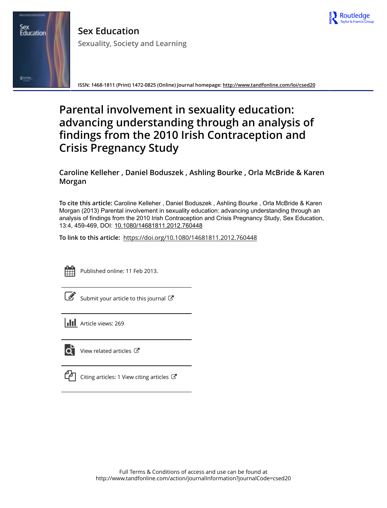

**Sex Education Sexuality, Society and Learning**

**ISSN: 1468-1811 (Print) 1472-0825 (Online) Journal homepage:<http://www.tandfonline.com/loi/csed20>**

# **Parental involvement in sexuality education: advancing understanding through an analysis of findings from the 2010 Irish Contraception and Crisis Pregnancy Study**

# **Caroline Kelleher , Daniel Boduszek , Ashling Bourke , Orla McBride & Karen Morgan**

**To cite this article:** Caroline Kelleher , Daniel Boduszek , Ashling Bourke , Orla McBride & Karen Morgan (2013) Parental involvement in sexuality education: advancing understanding through an analysis of findings from the 2010 Irish Contraception and Crisis Pregnancy Study, Sex Education, 13:4, 459-469, DOI: [10.1080/14681811.2012.760448](http://www.tandfonline.com/action/showCitFormats?doi=10.1080/14681811.2012.760448)

**To link to this article:** <https://doi.org/10.1080/14681811.2012.760448>



Sex<br>Education

Rises

Published online: 11 Feb 2013.

[Submit your article to this journal](http://www.tandfonline.com/action/authorSubmission?journalCode=csed20&show=instructions)  $\mathbb{Z}$ 

**Article views: 269** 



[View related articles](http://www.tandfonline.com/doi/mlt/10.1080/14681811.2012.760448)  $\mathbb{Z}$ 

[Citing articles: 1 View citing articles](http://www.tandfonline.com/doi/citedby/10.1080/14681811.2012.760448#tabModule)  $\mathbb{C}^{\bullet}$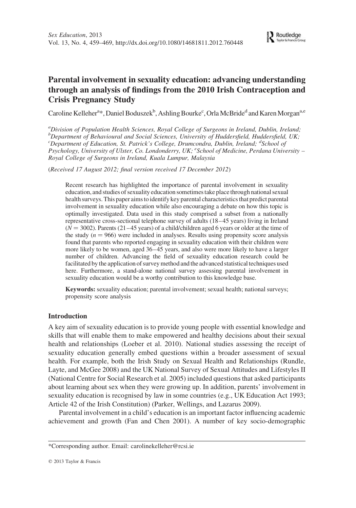# Parental involvement in sexuality education: advancing understanding through an analysis of findings from the 2010 Irish Contraception and Crisis Pregnancy Study

Caroline Kelleher<sup>a</sup>\*, Daniel Boduszek<sup>b</sup>, Ashling Bourke<sup>c</sup>, Orla McBride<sup>d</sup> and Karen Morgan<sup>a,e</sup>

<sup>a</sup>Division of Population Health Sciences, Royal College of Surgeons in Ireland, Dublin, Ireland; <sup>b</sup>Department of Behavioural and Social Sciences, University of Huddersfield, Huddersfield, UK; <sup>c</sup>Department of Education, St. Patrick's College, Drumcondra, Dublin, Ireland; <sup>d</sup>School of Psychology, University of Ulster, Co. Londonderry, UK; <sup>e</sup>School of Medicine, Perdana University – Royal College of Surgeons in Ireland, Kuala Lumpur, Malaysia

(Received 17 August 2012; final version received 17 December 2012)

Recent research has highlighted the importance of parental involvement in sexuality education, and studies of sexuality education sometimes take place through national sexual health surveys. This paper aims to identify key parental characteristics that predict parental involvement in sexuality education while also encouraging a debate on how this topic is optimally investigated. Data used in this study comprised a subset from a nationally representative cross-sectional telephone survey of adults (18–45 years) living in Ireland  $(N = 3002)$ . Parents (21–45 years) of a child/children aged 6 years or older at the time of the study  $(n = 966)$  were included in analyses. Results using propensity score analysis found that parents who reported engaging in sexuality education with their children were more likely to be women, aged 36–45 years, and also were more likely to have a larger number of children. Advancing the field of sexuality education research could be facilitated by the application of survey method and the advanced statistical techniques used here. Furthermore, a stand-alone national survey assessing parental involvement in sexuality education would be a worthy contribution to this knowledge base.

Keywords: sexuality education; parental involvement; sexual health; national surveys; propensity score analysis

## Introduction

A key aim of sexuality education is to provide young people with essential knowledge and skills that will enable them to make empowered and healthy decisions about their sexual health and relationships (Loeber et al. 2010). National studies assessing the receipt of sexuality education generally embed questions within a broader assessment of sexual health. For example, both the Irish Study on Sexual Health and Relationships (Rundle, Layte, and McGee 2008) and the UK National Survey of Sexual Attitudes and Lifestyles II (National Centre for Social Research et al. 2005) included questions that asked participants about learning about sex when they were growing up. In addition, parents' involvement in sexuality education is recognised by law in some countries (e.g., UK Education Act 1993; Article 42 of the Irish Constitution) (Parker, Wellings, and Lazarus 2009).

Parental involvement in a child's education is an important factor influencing academic achievement and growth (Fan and Chen 2001). A number of key socio-demographic

<sup>\*</sup>Corresponding author. Email: carolinekelleher@rcsi.ie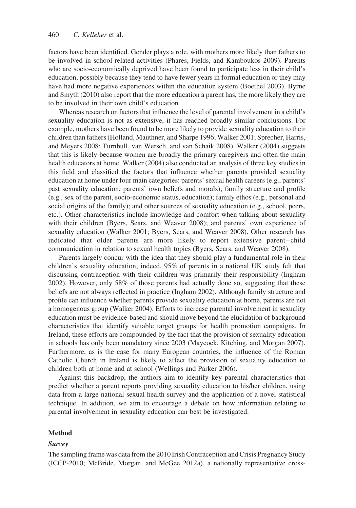factors have been identified. Gender plays a role, with mothers more likely than fathers to be involved in school-related activities (Phares, Fields, and Kamboukos 2009). Parents who are socio-economically deprived have been found to participate less in their child's education, possibly because they tend to have fewer years in formal education or they may have had more negative experiences within the education system (Boethel 2003). Byrne and Smyth (2010) also report that the more education a parent has, the more likely they are to be involved in their own child's education.

Whereas research on factors that influence the level of parental involvement in a child's sexuality education is not as extensive, it has reached broadly similar conclusions. For example, mothers have been found to be more likely to provide sexuality education to their children than fathers (Holland, Mauthner, and Sharpe 1996; Walker 2001; Sprecher, Harris, and Meyers 2008; Turnbull, van Wersch, and van Schaik 2008). Walker (2004) suggests that this is likely because women are broadly the primary caregivers and often the main health educators at home. Walker (2004) also conducted an analysis of three key studies in this field and classified the factors that influence whether parents provided sexuality education at home under four main categories: parents' sexual health careers (e.g., parents' past sexuality education, parents' own beliefs and morals); family structure and profile (e.g., sex of the parent, socio-economic status, education); family ethos (e.g., personal and social origins of the family); and other sources of sexuality education (e.g., school, peers, etc.). Other characteristics include knowledge and comfort when talking about sexuality with their children (Byers, Sears, and Weaver 2008); and parents' own experience of sexuality education (Walker 2001; Byers, Sears, and Weaver 2008). Other research has indicated that older parents are more likely to report extensive parent–child communication in relation to sexual health topics (Byers, Sears, and Weaver 2008).

Parents largely concur with the idea that they should play a fundamental role in their children's sexuality education; indeed, 95% of parents in a national UK study felt that discussing contraception with their children was primarily their responsibility (Ingham 2002). However, only 58% of those parents had actually done so, suggesting that these beliefs are not always reflected in practice (Ingham 2002). Although family structure and profile can influence whether parents provide sexuality education at home, parents are not a homogenous group (Walker 2004). Efforts to increase parental involvement in sexuality education must be evidence-based and should move beyond the elucidation of background characteristics that identify suitable target groups for health promotion campaigns. In Ireland, these efforts are compounded by the fact that the provision of sexuality education in schools has only been mandatory since 2003 (Maycock, Kitching, and Morgan 2007). Furthermore, as is the case for many European countries, the influence of the Roman Catholic Church in Ireland is likely to affect the provision of sexuality education to children both at home and at school (Wellings and Parker 2006).

Against this backdrop, the authors aim to identify key parental characteristics that predict whether a parent reports providing sexuality education to his/her children, using data from a large national sexual health survey and the application of a novel statistical technique. In addition, we aim to encourage a debate on how information relating to parental involvement in sexuality education can best be investigated.

## Method

#### **Survey**

The sampling frame was data from the 2010 Irish Contraception and Crisis Pregnancy Study (ICCP-2010; McBride, Morgan, and McGee 2012a), a nationally representative cross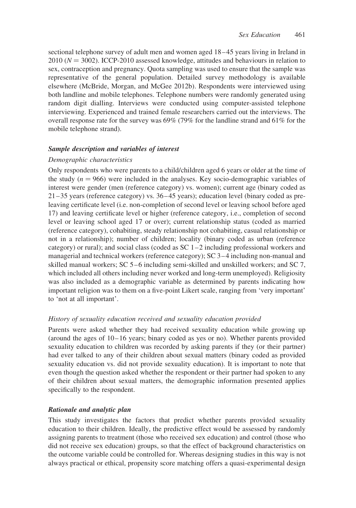sectional telephone survey of adult men and women aged 18–45 years living in Ireland in 2010 ( $N = 3002$ ). ICCP-2010 assessed knowledge, attitudes and behaviours in relation to sex, contraception and pregnancy. Quota sampling was used to ensure that the sample was representative of the general population. Detailed survey methodology is available elsewhere (McBride, Morgan, and McGee 2012b). Respondents were interviewed using both landline and mobile telephones. Telephone numbers were randomly generated using random digit dialling. Interviews were conducted using computer-assisted telephone interviewing. Experienced and trained female researchers carried out the interviews. The overall response rate for the survey was 69% (79% for the landline strand and 61% for the mobile telephone strand).

# Sample description and variables of interest

## Demographic characteristics

Only respondents who were parents to a child/children aged 6 years or older at the time of the study  $(n = 966)$  were included in the analyses. Key socio-demographic variables of interest were gender (men (reference category) vs. women); current age (binary coded as 21–35 years (reference category) vs. 36–45 years); education level (binary coded as preleaving certificate level (i.e. non-completion of second level or leaving school before aged 17) and leaving certificate level or higher (reference category, i.e., completion of second level or leaving school aged 17 or over); current relationship status (coded as married (reference category), cohabiting, steady relationship not cohabiting, casual relationship or not in a relationship); number of children; locality (binary coded as urban (reference category) or rural); and social class (coded as SC 1–2 including professional workers and managerial and technical workers (reference category); SC 3–4 including non-manual and skilled manual workers; SC 5–6 including semi-skilled and unskilled workers; and SC 7, which included all others including never worked and long-term unemployed). Religiosity was also included as a demographic variable as determined by parents indicating how important religion was to them on a five-point Likert scale, ranging from 'very important' to 'not at all important'.

# History of sexuality education received and sexuality education provided

Parents were asked whether they had received sexuality education while growing up (around the ages of 10–16 years; binary coded as yes or no). Whether parents provided sexuality education to children was recorded by asking parents if they (or their partner) had ever talked to any of their children about sexual matters (binary coded as provided sexuality education vs. did not provide sexuality education). It is important to note that even though the question asked whether the respondent or their partner had spoken to any of their children about sexual matters, the demographic information presented applies specifically to the respondent.

# Rationale and analytic plan

This study investigates the factors that predict whether parents provided sexuality education to their children. Ideally, the predictive effect would be assessed by randomly assigning parents to treatment (those who received sex education) and control (those who did not receive sex education) groups, so that the effect of background characteristics on the outcome variable could be controlled for. Whereas designing studies in this way is not always practical or ethical, propensity score matching offers a quasi-experimental design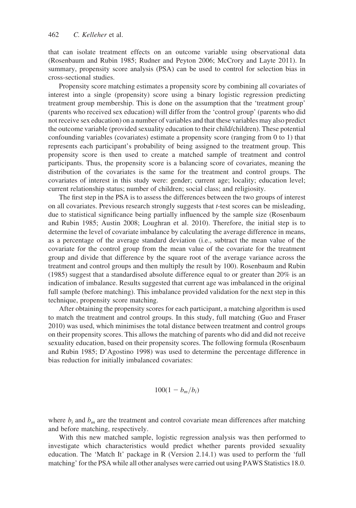that can isolate treatment effects on an outcome variable using observational data (Rosenbaum and Rubin 1985; Rudner and Peyton 2006; McCrory and Layte 2011). In summary, propensity score analysis (PSA) can be used to control for selection bias in cross-sectional studies.

Propensity score matching estimates a propensity score by combining all covariates of interest into a single (propensity) score using a binary logistic regression predicting treatment group membership. This is done on the assumption that the 'treatment group' (parents who received sex education) will differ from the 'control group' (parents who did not receive sex education) on a number of variables and that these variables may also predict the outcome variable (provided sexuality education to their child/children). These potential confounding variables (covariates) estimate a propensity score (ranging from 0 to 1) that represents each participant's probability of being assigned to the treatment group. This propensity score is then used to create a matched sample of treatment and control participants. Thus, the propensity score is a balancing score of covariates, meaning the distribution of the covariates is the same for the treatment and control groups. The covariates of interest in this study were: gender; current age; locality; education level; current relationship status; number of children; social class; and religiosity.

The first step in the PSA is to assess the differences between the two groups of interest on all covariates. Previous research strongly suggests that t-test scores can be misleading, due to statistical significance being partially influenced by the sample size (Rosenbaum and Rubin 1985; Austin 2008; Loughran et al. 2010). Therefore, the initial step is to determine the level of covariate imbalance by calculating the average difference in means, as a percentage of the average standard deviation (i.e., subtract the mean value of the covariate for the control group from the mean value of the covariate for the treatment group and divide that difference by the square root of the average variance across the treatment and control groups and then multiply the result by 100). Rosenbaum and Rubin (1985) suggest that a standardised absolute difference equal to or greater than 20% is an indication of imbalance. Results suggested that current age was imbalanced in the original full sample (before matching). This imbalance provided validation for the next step in this technique, propensity score matching.

After obtaining the propensity scores for each participant, a matching algorithm is used to match the treatment and control groups. In this study, full matching (Guo and Fraser 2010) was used, which minimises the total distance between treatment and control groups on their propensity scores. This allows the matching of parents who did and did not receive sexuality education, based on their propensity scores. The following formula (Rosenbaum and Rubin 1985; D'Agostino 1998) was used to determine the percentage difference in bias reduction for initially imbalanced covariates:

$$
100(1-b_m/b_i)
$$

where  $b_i$  and  $b_m$  are the treatment and control covariate mean differences after matching and before matching, respectively.

With this new matched sample, logistic regression analysis was then performed to investigate which characteristics would predict whether parents provided sexuality education. The 'Match It' package in R (Version 2.14.1) was used to perform the 'full matching' for the PSA while all other analyses were carried out using PAWS Statistics 18.0.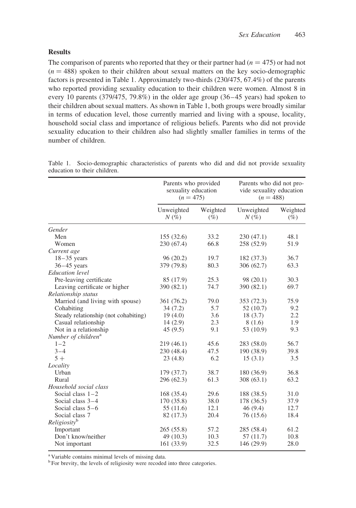# **Results**

The comparison of parents who reported that they or their partner had ( $n = 475$ ) or had not  $(n = 488)$  spoken to their children about sexual matters on the key socio-demographic factors is presented in Table 1. Approximately two-thirds (230/475, 67.4%) of the parents who reported providing sexuality education to their children were women. Almost 8 in every 10 parents (379/475, 79.8%) in the older age group (36–45 years) had spoken to their children about sexual matters. As shown in Table 1, both groups were broadly similar in terms of education level, those currently married and living with a spouse, locality, household social class and importance of religious beliefs. Parents who did not provide sexuality education to their children also had slightly smaller families in terms of the number of children.

|                                      | Parents who provided<br>sexuality education<br>$(n = 475)$ |                    | Parents who did not pro-<br>vide sexuality education<br>$(n = 488)$ |                    |  |
|--------------------------------------|------------------------------------------------------------|--------------------|---------------------------------------------------------------------|--------------------|--|
|                                      | Unweighted<br>$N(\%)$                                      | Weighted<br>$(\%)$ | Unweighted<br>$N(\%)$                                               | Weighted<br>$(\%)$ |  |
| Gender                               |                                                            |                    |                                                                     |                    |  |
| Men                                  | 155(32.6)                                                  | 33.2               | 230(47.1)                                                           | 48.1               |  |
| Women                                | 230 (67.4)                                                 | 66.8               | 258 (52.9)                                                          | 51.9               |  |
| Current age                          |                                                            |                    |                                                                     |                    |  |
| $18 - 35$ years                      | 96(20.2)                                                   | 19.7               | 182 (37.3)                                                          | 36.7               |  |
| $36 - 45$ years                      | 379 (79.8)                                                 | 80.3               | 306 (62.7)                                                          | 63.3               |  |
| <b>Education</b> level               |                                                            |                    |                                                                     |                    |  |
| Pre-leaving certificate              | 85 (17.9)                                                  | 25.3               | 98 (20.1)                                                           | 30.3               |  |
| Leaving certificate or higher        | 390 (82.1)                                                 | 74.7               | 390 (82.1)                                                          | 69.7               |  |
| Relationship status                  |                                                            |                    |                                                                     |                    |  |
| Married (and living with spouse)     | 361 (76.2)                                                 | 79.0               | 353 (72.3)                                                          | 75.9               |  |
| Cohabiting                           | 34 (7.2)                                                   | 5.7                | 52 (10.7)                                                           | 9.2                |  |
| Steady relationship (not cohabiting) | 19(4.0)                                                    | 3.6                | 18(3.7)                                                             | 2.2                |  |
| Casual relationship                  | 14(2.9)                                                    | 2.3                | 8(1.6)                                                              | 1.9                |  |
| Not in a relationship                | 45(9.5)                                                    | 9.1                | 53 (10.9)                                                           | 9.3                |  |
| Number of children <sup>a</sup>      |                                                            |                    |                                                                     |                    |  |
| $1 - 2$                              | 219(46.1)                                                  | 45.6               | 283 (58.0)                                                          | 56.7               |  |
| $3 - 4$                              | 230 (48.4)                                                 | 47.5               | 190 (38.9)                                                          | 39.8               |  |
| $5+$                                 | 23(4.8)                                                    | 6.2                | 15(3.1)                                                             | 3.5                |  |
| Locality                             |                                                            |                    |                                                                     |                    |  |
| Urban                                | 179 (37.7)                                                 | 38.7               | 180 (36.9)                                                          | 36.8               |  |
| Rural                                | 296 (62.3)                                                 | 61.3               | 308(63.1)                                                           | 63.2               |  |
| Household social class               |                                                            |                    |                                                                     |                    |  |
| Social class $1-2$                   | 168 (35.4)                                                 | 29.6               | 188 (38.5)                                                          | 31.0               |  |
| Social class 3-4                     | 170 (35.8)                                                 | 38.0               | 178 (36.5)                                                          | 37.9               |  |
| Social class $5-6$                   | 55 (11.6)                                                  | 12.1               | 46(9.4)                                                             | 12.7               |  |
| Social class 7                       | 82 (17.3)                                                  | 20.4               | 76 (15.6)                                                           | 18.4               |  |
| Religiosity <sup>b</sup>             |                                                            |                    |                                                                     |                    |  |
| Important                            | 265(55.8)                                                  | 57.2               | 285 (58.4)                                                          | 61.2               |  |
| Don't know/neither                   | 49 (10.3)                                                  | 10.3               | 57 (11.7)                                                           | 10.8               |  |
| Not important                        | 161 (33.9)                                                 | 32.5               | 146 (29.9)                                                          | 28.0               |  |

Table 1. Socio-demographic characteristics of parents who did and did not provide sexuality education to their children.

<sup>a</sup> Variable contains minimal levels of missing data.

<sup>b</sup> For brevity, the levels of religiosity were recoded into three categories.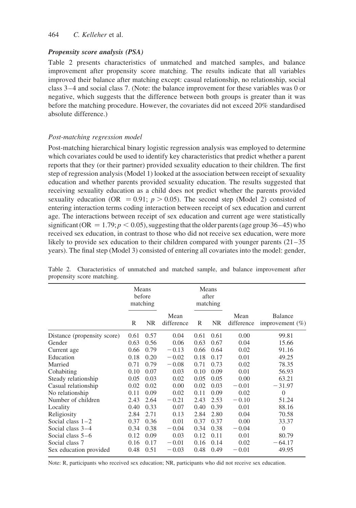## 464 C. Kelleher et al.

# Propensity score analysis (PSA)

Table 2 presents characteristics of unmatched and matched samples, and balance improvement after propensity score matching. The results indicate that all variables improved their balance after matching except: casual relationship, no relationship, social class 3–4 and social class 7. (Note: the balance improvement for these variables was 0 or negative, which suggests that the difference between both groups is greater than it was before the matching procedure. However, the covariates did not exceed 20% standardised absolute difference.)

# Post-matching regression model

Post-matching hierarchical binary logistic regression analysis was employed to determine which covariates could be used to identify key characteristics that predict whether a parent reports that they (or their partner) provided sexuality education to their children. The first step of regression analysis (Model 1) looked at the association between receipt of sexuality education and whether parents provided sexuality education. The results suggested that receiving sexuality education as a child does not predict whether the parents provided sexuality education (OR = 0.91;  $p > 0.05$ ). The second step (Model 2) consisted of entering interaction terms coding interaction between receipt of sex education and current age. The interactions between receipt of sex education and current age were statistically significant (OR = 1.79;  $p < 0.05$ ), suggesting that the older parents (age group 36–45) who received sex education, in contrast to those who did not receive sex education, were more likely to provide sex education to their children compared with younger parents  $(21-35)$ years). The final step (Model 3) consisted of entering all covariates into the model: gender,

|                             | Means<br>before<br>matching |      | Means<br>after<br>matching |      |      |                    |                                |  |
|-----------------------------|-----------------------------|------|----------------------------|------|------|--------------------|--------------------------------|--|
|                             | R                           | NR.  | Mean<br>difference         | R    | NR   | Mean<br>difference | Balance<br>improvement $(\% )$ |  |
| Distance (propensity score) | 0.61                        | 0.57 | 0.04                       | 0.61 | 0.61 | 0.00               | 99.81                          |  |
| Gender                      | 0.63                        | 0.56 | 0.06                       | 0.63 | 0.67 | 0.04               | 15.66                          |  |
| Current age                 | 0.66                        | 0.79 | $-0.13$                    | 0.66 | 0.64 | 0.02               | 91.16                          |  |
| Education                   | 0.18                        | 0.20 | $-0.02$                    | 0.18 | 0.17 | 0.01               | 49.25                          |  |
| Married                     | 0.71                        | 0.79 | $-0.08$                    | 0.71 | 0.73 | 0.02               | 78.35                          |  |
| Cohabiting                  | 0.10                        | 0.07 | 0.03                       | 0.10 | 0.09 | 0.01               | 56.93                          |  |
| Steady relationship         | 0.05                        | 0.03 | 0.02                       | 0.05 | 0.05 | 0.00               | 63.21                          |  |
| Casual relationship         | 0.02                        | 0.02 | 0.00                       | 0.02 | 0.03 | $-0.01$            | $-31.97$                       |  |
| No relationship             | 0.11                        | 0.09 | 0.02                       | 0.11 | 0.09 | 0.02               | $\overline{0}$                 |  |
| Number of children          | 2.43                        | 2.64 | $-0.21$                    | 2.43 | 2.53 | $-0.10$            | 51.24                          |  |
| Locality                    | 0.40                        | 0.33 | 0.07                       | 0.40 | 0.39 | 0.01               | 88.16                          |  |
| Religiosity                 | 2.84                        | 2.71 | 0.13                       | 2.84 | 2.80 | 0.04               | 70.58                          |  |
| Social class $1-2$          | 0.37                        | 0.36 | 0.01                       | 0.37 | 0.37 | 0.00               | 33.37                          |  |
| Social class $3-4$          | 0.34                        | 0.38 | $-0.04$                    | 0.34 | 0.38 | $-0.04$            | $\overline{0}$                 |  |
| Social class $5-6$          | 0.12                        | 0.09 | 0.03                       | 0.12 | 0.11 | 0.01               | 80.79                          |  |
| Social class 7              | 0.16                        | 0.17 | $-0.01$                    | 0.16 | 0.14 | 0.02               | $-64.17$                       |  |
| Sex education provided      | 0.48                        | 0.51 | $-0.03$                    | 0.48 | 0.49 | $-0.01$            | 49.95                          |  |

Table 2. Characteristics of unmatched and matched sample, and balance improvement after propensity score matching.

Note: R, participants who received sex education; NR, participants who did not receive sex education.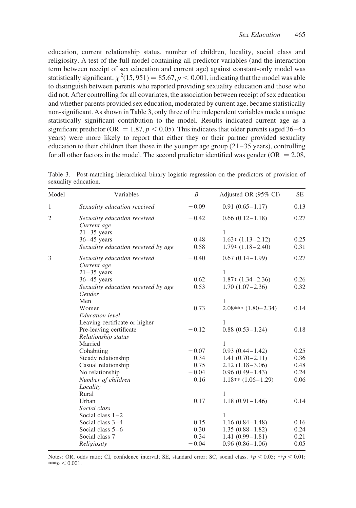education, current relationship status, number of children, locality, social class and religiosity. A test of the full model containing all predictor variables (and the interaction term between receipt of sex education and current age) against constant-only model was statistically significant,  $\chi^2(15, 951) = 85.67, p < 0.001$ , indicating that the model was able to distinguish between parents who reported providing sexuality education and those who did not. After controlling for all covariates, the association between receipt of sex education and whether parents provided sex education, moderated by current age, became statistically non-significant. As shown in Table 3, only three of the independent variables made a unique statistically significant contribution to the model. Results indicated current age as a significant predictor (OR = 1.87,  $p < 0.05$ ). This indicates that older parents (aged 36–45) years) were more likely to report that either they or their partner provided sexuality education to their children than those in the younger age group (21–35 years), controlling for all other factors in the model. The second predictor identified was gender (OR  $= 2.08$ ,

| Model | Variables                                     | $\boldsymbol{B}$ | Adjusted OR (95% CI)   | SE   |
|-------|-----------------------------------------------|------------------|------------------------|------|
| 1     | Sexuality education received                  | $-0.09$          | $0.91(0.65 - 1.17)$    | 0.13 |
| 2     | Sexuality education received<br>Current age   | $-0.42$          | $0.66(0.12-1.18)$      | 0.27 |
|       | $21 - 35$ years                               |                  | 1                      |      |
|       | $36 - 45$ years                               | 0.48             | $1.63*(1.13-2.12)$     | 0.25 |
|       | Sexuality education received by age           | 0.58             | $1.79*(1.18-2.40)$     | 0.31 |
| 3     | Sexuality education received<br>Current age   | $-0.40$          | $0.67(0.14-1.99)$      | 0.27 |
|       | $21 - 35$ years                               |                  | 1                      |      |
|       | $36 - 45$ years                               | 0.62             | $1.87*(1.34-2.36)$     | 0.26 |
|       | Sexuality education received by age<br>Gender | 0.53             | $1.70(1.07-2.36)$      | 0.32 |
|       | Men                                           |                  | 1                      |      |
|       | Women                                         | 0.73             | $2.08***(1.80-2.34)$   | 0.14 |
|       | <b>Education</b> level                        |                  |                        |      |
|       | Leaving certificate or higher                 |                  | $\mathbf{1}$           |      |
|       | Pre-leaving certificate                       | $-0.12$          | $0.88(0.53 - 1.24)$    | 0.18 |
|       | Relationship status                           |                  |                        |      |
|       | Married                                       |                  | $\mathbf{1}$           |      |
|       | Cohabiting                                    | $-0.07$          | $0.93(0.44 - 1.42)$    | 0.25 |
|       | Steady relationship                           | 0.34             | $1.41(0.70-2.11)$      | 0.36 |
|       | Casual relationship                           | 0.75             | $2.12(1.18-3.06)$      | 0.48 |
|       | No relationship                               | $-0.04$          | $0.96(0.49-1.43)$      | 0.24 |
|       | Number of children                            | 0.16             | $1.18**$ $(1.06-1.29)$ | 0.06 |
|       | Locality<br>Rural                             |                  | 1                      |      |
|       | Urban                                         | 0.17             | $1.18(0.91 - 1.46)$    | 0.14 |
|       | Social class                                  |                  |                        |      |
|       | Social class $1-2$                            |                  | 1                      |      |
|       | Social class 3-4                              | 0.15             | $1.16(0.84 - 1.48)$    | 0.16 |
|       | Social class 5-6                              | 0.30             | $1.35(0.88 - 1.82)$    | 0.24 |
|       | Social class 7                                | 0.34             | $1.41(0.99 - 1.81)$    | 0.21 |
|       | Religiosity                                   | $-0.04$          | $0.96(0.86 - 1.06)$    | 0.05 |

Table 3. Post-matching hierarchical binary logistic regression on the predictors of provision of sexuality education.

Notes: OR, odds ratio; CI, confidence interval; SE, standard error; SC, social class.  $*p < 0.05$ ;  $*zp < 0.01$ ;  $***p < 0.001$ .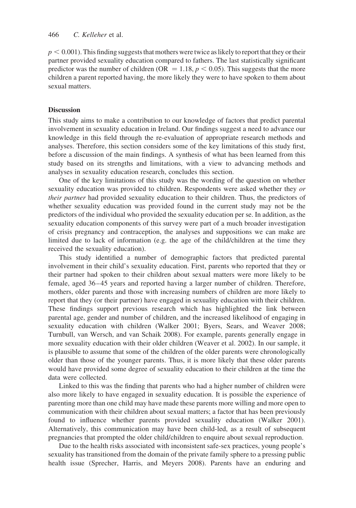$p < 0.001$ ). This finding suggests that mothers were twice as likely to report that they or their partner provided sexuality education compared to fathers. The last statistically significant predictor was the number of children (OR = 1.18,  $p < 0.05$ ). This suggests that the more children a parent reported having, the more likely they were to have spoken to them about sexual matters.

#### **Discussion**

This study aims to make a contribution to our knowledge of factors that predict parental involvement in sexuality education in Ireland. Our findings suggest a need to advance our knowledge in this field through the re-evaluation of appropriate research methods and analyses. Therefore, this section considers some of the key limitations of this study first, before a discussion of the main findings. A synthesis of what has been learned from this study based on its strengths and limitations, with a view to advancing methods and analyses in sexuality education research, concludes this section.

One of the key limitations of this study was the wording of the question on whether sexuality education was provided to children. Respondents were asked whether they or their partner had provided sexuality education to their children. Thus, the predictors of whether sexuality education was provided found in the current study may not be the predictors of the individual who provided the sexuality education per se. In addition, as the sexuality education components of this survey were part of a much broader investigation of crisis pregnancy and contraception, the analyses and suppositions we can make are limited due to lack of information (e.g. the age of the child/children at the time they received the sexuality education).

This study identified a number of demographic factors that predicted parental involvement in their child's sexuality education. First, parents who reported that they or their partner had spoken to their children about sexual matters were more likely to be female, aged 36–45 years and reported having a larger number of children. Therefore, mothers, older parents and those with increasing numbers of children are more likely to report that they (or their partner) have engaged in sexuality education with their children. These findings support previous research which has highlighted the link between parental age, gender and number of children, and the increased likelihood of engaging in sexuality education with children (Walker 2001; Byers, Sears, and Weaver 2008; Turnbull, van Wersch, and van Schaik 2008). For example, parents generally engage in more sexuality education with their older children (Weaver et al. 2002). In our sample, it is plausible to assume that some of the children of the older parents were chronologically older than those of the younger parents. Thus, it is more likely that these older parents would have provided some degree of sexuality education to their children at the time the data were collected.

Linked to this was the finding that parents who had a higher number of children were also more likely to have engaged in sexuality education. It is possible the experience of parenting more than one child may have made these parents more willing and more open to communication with their children about sexual matters; a factor that has been previously found to influence whether parents provided sexuality education (Walker 2001). Alternatively, this communication may have been child-led, as a result of subsequent pregnancies that prompted the older child/children to enquire about sexual reproduction.

Due to the health risks associated with inconsistent safe-sex practices, young people's sexuality has transitioned from the domain of the private family sphere to a pressing public health issue (Sprecher, Harris, and Meyers 2008). Parents have an enduring and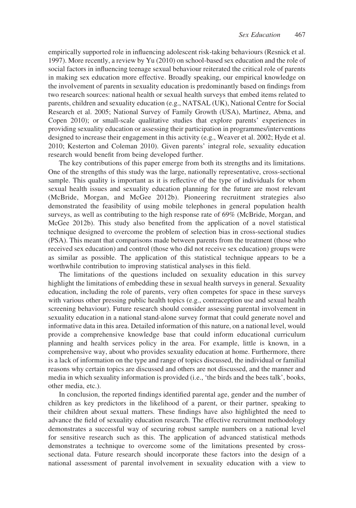empirically supported role in influencing adolescent risk-taking behaviours (Resnick et al. 1997). More recently, a review by Yu (2010) on school-based sex education and the role of social factors in influencing teenage sexual behaviour reiterated the critical role of parents in making sex education more effective. Broadly speaking, our empirical knowledge on the involvement of parents in sexuality education is predominantly based on findings from two research sources: national health or sexual health surveys that embed items related to parents, children and sexuality education (e.g., NATSAL (UK), National Centre for Social Research et al. 2005; National Survey of Family Growth (USA), Martinez, Abma, and Copen 2010); or small-scale qualitative studies that explore parents' experiences in providing sexuality education or assessing their participation in programmes/interventions designed to increase their engagement in this activity (e.g., Weaver et al. 2002; Hyde et al. 2010; Kesterton and Coleman 2010). Given parents' integral role, sexuality education research would benefit from being developed further.

The key contributions of this paper emerge from both its strengths and its limitations. One of the strengths of this study was the large, nationally representative, cross-sectional sample. This quality is important as it is reflective of the type of individuals for whom sexual health issues and sexuality education planning for the future are most relevant (McBride, Morgan, and McGee 2012b). Pioneering recruitment strategies also demonstrated the feasibility of using mobile telephones in general population health surveys, as well as contributing to the high response rate of 69% (McBride, Morgan, and McGee 2012b). This study also benefited from the application of a novel statistical technique designed to overcome the problem of selection bias in cross-sectional studies (PSA). This meant that comparisons made between parents from the treatment (those who received sex education) and control (those who did not receive sex education) groups were as similar as possible. The application of this statistical technique appears to be a worthwhile contribution to improving statistical analyses in this field.

The limitations of the questions included on sexuality education in this survey highlight the limitations of embedding these in sexual health surveys in general. Sexuality education, including the role of parents, very often competes for space in these surveys with various other pressing public health topics (e.g., contraception use and sexual health screening behaviour). Future research should consider assessing parental involvement in sexuality education in a national stand-alone survey format that could generate novel and informative data in this area. Detailed information of this nature, on a national level, would provide a comprehensive knowledge base that could inform educational curriculum planning and health services policy in the area. For example, little is known, in a comprehensive way, about who provides sexuality education at home. Furthermore, there is a lack of information on the type and range of topics discussed, the individual or familial reasons why certain topics are discussed and others are not discussed, and the manner and media in which sexuality information is provided (i.e., 'the birds and the bees talk', books, other media, etc.).

In conclusion, the reported findings identified parental age, gender and the number of children as key predictors in the likelihood of a parent, or their partner, speaking to their children about sexual matters. These findings have also highlighted the need to advance the field of sexuality education research. The effective recruitment methodology demonstrates a successful way of securing robust sample numbers on a national level for sensitive research such as this. The application of advanced statistical methods demonstrates a technique to overcome some of the limitations presented by crosssectional data. Future research should incorporate these factors into the design of a national assessment of parental involvement in sexuality education with a view to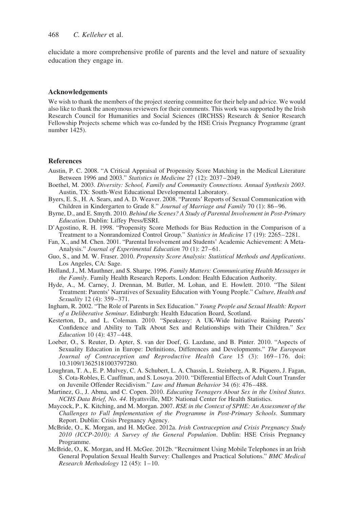elucidate a more comprehensive profile of parents and the level and nature of sexuality education they engage in.

#### Acknowledgements

We wish to thank the members of the project steering committee for their help and advice. We would also like to thank the anonymous reviewers for their comments. This work was supported by the Irish Research Council for Humanities and Social Sciences (IRCHSS) Research & Senior Research Fellowship Projects scheme which was co-funded by the HSE Crisis Pregnancy Programme (grant number 1425).

#### References

- Austin, P. C. 2008. "A Critical Appraisal of Propensity Score Matching in the Medical Literature Between 1996 and 2003." Statistics in Medicine 27 (12): 2037–2049.
- Boethel, M. 2003. Diversity: School, Family and Community Connections. Annual Synthesis 2003. Austin, TX: South-West Educational Developmental Laboratory.
- Byers, E. S., H. A. Sears, and A. D. Weaver. 2008. "Parents' Reports of Sexual Communication with Children in Kindergarten to Grade 8." Journal of Marriage and Family 70 (1): 86–96.
- Byrne, D., and E. Smyth. 2010. Behind the Scenes? A Study of Parental Involvement in Post-Primary Education. Dublin: Liffey Press/ESRI.
- D'Agostino, R. H. 1998. "Propensity Score Methods for Bias Reduction in the Comparison of a Treatment to a Nonrandomized Control Group." Statistics in Medicine 17 (19): 2265–2281.
- Fan, X., and M. Chen. 2001. "Parental Involvement and Students' Academic Achievement: A Meta-Analysis." Journal of Experimental Education 70 (1): 27–61.
- Guo, S., and M. W. Fraser. 2010. Propensity Score Analysis: Statistical Methods and Applications. Los Angeles, CA: Sage.
- Holland, J., M. Mauthner, and S. Sharpe. 1996. Family Matters: Communicating Health Messages in the Family. Family Health Research Reports. London: Health Education Authority.
- Hyde, A., M. Carney, J. Drennan, M. Butler, M. Lohan, and E. Howlett. 2010. "The Silent Treatment: Parents' Narratives of Sexuality Education with Young People." Culture, Health and Sexuality 12 (4): 359–371.
- Ingham, R. 2002. "The Role of Parents in Sex Education." Young People and Sexual Health: Report of a Deliberative Seminar. Edinburgh: Health Education Board, Scotland.
- Kesterton, D., and L. Coleman. 2010. "Speakeasy: A UK-Wide Initiative Raising Parents' Confidence and Ability to Talk About Sex and Relationships with Their Children."  $Sex$ Education 10 (4): 437–448.
- Loeber, O., S. Reuter, D. Apter, S. van der Doef, G. Lazdane, and B. Pinter. 2010. "Aspects of Sexuality Education in Europe: Definitions, Differences and Developments." The European Journal of Contraception and Reproductive Health Care 15 (3): 169–176. doi: 10.3109/13625181003797280.
- Loughran, T. A., E. P. Mulvey, C. A. Schubert, L. A. Chassin, L. Steinberg, A. R. Piquero, J. Fagan, S. Cota-Robles, E. Cauffman, and S. Losoya. 2010. "Differential Effects of Adult Court Transfer on Juvenile Offender Recidivism." Law and Human Behavior 34 (6): 476–488.
- Martinez, G., J. Abma, and C. Copen. 2010. Educating Teenagers About Sex in the United States. NCHS Data Brief, No. 44. Hyattsville, MD: National Center for Health Statistics.
- Maycock, P., K. Kitching, and M. Morgan. 2007. RSE in the Context of SPHE: An Assessment of the Challenges to Full Implementation of the Programme in Post-Primary Schools. Summary Report. Dublin: Crisis Pregnancy Agency.
- McBride, O., K. Morgan, and H. McGee. 2012a. Irish Contraception and Crisis Pregnancy Study 2010 (ICCP-2010): A Survey of the General Population. Dublin: HSE Crisis Pregnancy Programme.
- McBride, O., K. Morgan, and H. McGee. 2012b. "Recruitment Using Mobile Telephones in an Irish General Population Sexual Health Survey: Challenges and Practical Solutions." BMC Medical Research Methodology 12 (45): 1–10.